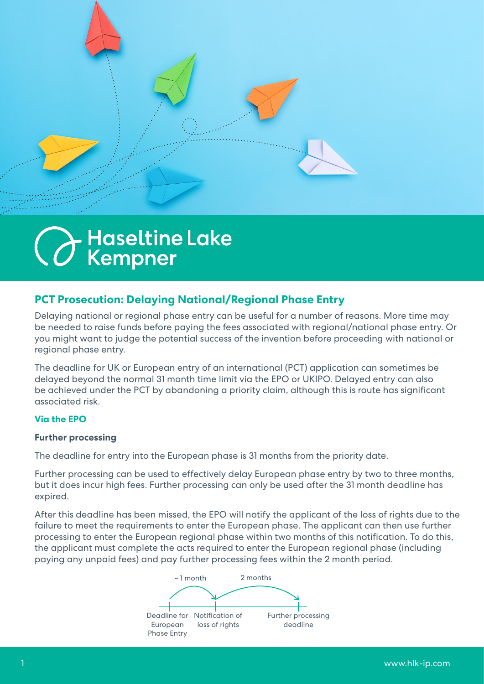

# - Haseltine Lak<mark>e</mark><br>Kempner

# **PCT Prosecution: Delaying National/Regional Phase Entry**

Delaying national or regional phase entry can be useful for a number of reasons. More time may be needed to raise funds before paying the fees associated with regional/national phase entry. Or you might want to judge the potential success of the invention before proceeding with national or regional phase entry.

The deadline for UK or European entry of an international (PCT) application can sometimes be delayed beyond the normal 31 month time limit via the EPO or UKIPO. Delayed entry can also be achieved under the PCT by abandoning a priority claim, although this is route has significant associated risk.

# **Via the EPO**

#### **Further processing**

The deadline for entry into the European phase is 31 months from the priority date.

Further processing can be used to effectively delay European phase entry by two to three months, but it does incur high fees. Further processing can only be used after the 31 month deadline has expired.

After this deadline has been missed, the EPO will notify the applicant of the loss of rights due to the failure to meet the requirements to enter the European phase. The applicant can then use further processing to enter the European regional phase within two months of this notification. To do this, the applicant must complete the acts required to enter the European regional phase (including paying any unpaid fees) and pay further processing fees within the 2 month period.

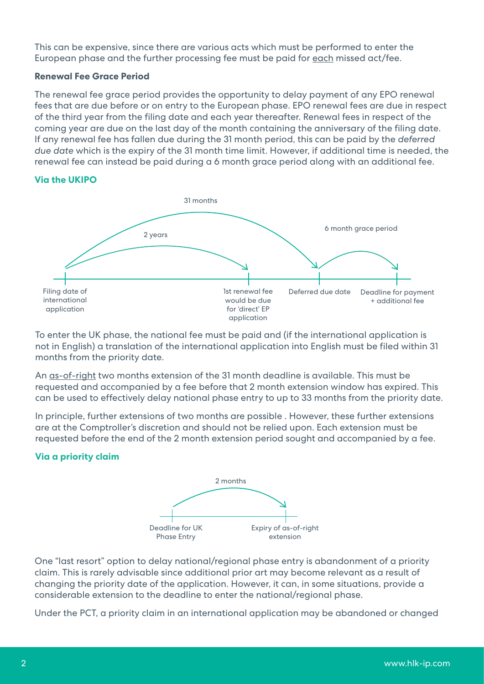This can be expensive, since there are various acts which must be performed to enter the European phase and the further processing fee must be paid for each missed act/fee.

#### **Renewal Fee Grace Period**

The renewal fee grace period provides the opportunity to delay payment of any EPO renewal fees that are due before or on entry to the European phase. EPO renewal fees are due in respect of the third year from the filing date and each year thereafter. Renewal fees in respect of the coming year are due on the last day of the month containing the anniversary of the filing date. If any renewal fee has fallen due during the 31 month period, this can be paid by the *deferred due date* which is the expiry of the 31 month time limit. However, if additional time is needed, the renewal fee can instead be paid during a 6 month grace period along with an additional fee.

## **Via the UKIPO**



To enter the UK phase, the national fee must be paid and (if the international application is not in English) a translation of the international application into English must be filed within 31 months from the priority date.

An as-of-right two months extension of the 31 month deadline is available. This must be requested and accompanied by a fee before that 2 month extension window has expired. This can be used to effectively delay national phase entry to up to 33 months from the priority date.

In principle, further extensions of two months are possible . However, these further extensions are at the Comptroller's discretion and should not be relied upon. Each extension must be requested before the end of the 2 month extension period sought and accompanied by a fee.

### **Via a priority claim**



One "last resort" option to delay national/regional phase entry is abandonment of a priority claim. This is rarely advisable since additional prior art may become relevant as a result of changing the priority date of the application. However, it can, in some situations, provide a considerable extension to the deadline to enter the national/regional phase.

Under the PCT, a priority claim in an international application may be abandoned or changed